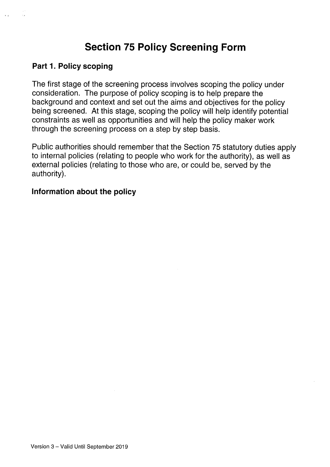# Section 75 Policy Screening Form

#### Part 1. Policy scoping

The first stage of the screening process involves scoping the policy under consideration. The purpose of policy scoping is to help prepare the background and context and set out the aims and objectives for the policy being screened. At this stage, scoping the policy will help identify potential constraints as well as opportunities and will help the policy maker work through the screening process on a step by step basis.

Public authorities should remember that the Section 75 statutory duties apply to internal policies (relating to people who work for the authority), as well as external policies (relating to those who are, or could be, served by the authority).

#### Information about the policy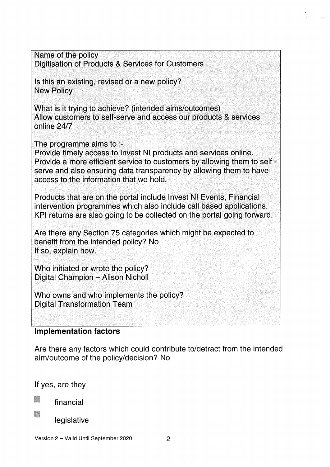| Name of the policy<br>Digitisation of Products & Services for Customers                                                                                                                                                                                                                          |  |
|--------------------------------------------------------------------------------------------------------------------------------------------------------------------------------------------------------------------------------------------------------------------------------------------------|--|
| Is this an existing, revised or a new policy?<br><b>New Policy</b>                                                                                                                                                                                                                               |  |
| What is it trying to achieve? (intended aims/outcomes)<br>Allow customers to self-serve and access our products & services<br>online 24/7                                                                                                                                                        |  |
| The programme aims to $\cdot$ -<br>Provide timely access to Invest NI products and services online.<br>Provide a more efficient service to customers by allowing them to self -<br>serve and also ensuring data transparency by allowing them to have<br>access to the information that we hold. |  |
| Products that are on the portal include Invest NI Events, Financial<br>intervention programmes which also include call based applications.<br>KPI returns are also going to be collected on the portal going forward.                                                                            |  |
| Are there any Section 75 categories which might be expected to<br>benefit from the intended policy? No<br>If so, explain how.                                                                                                                                                                    |  |
| Who initiated or wrote the policy?<br>Digital Champion - Alison Nicholl                                                                                                                                                                                                                          |  |
| Who owns and who implements the policy?<br><b>Digital Transformation Team</b>                                                                                                                                                                                                                    |  |
| wawaninu faata                                                                                                                                                                                                                                                                                   |  |

y.

#### Implementation factors

Are there any factors which could contribute to/detract from the intended aim/outcome of the policy/decision? No

If yes, are they

financial

legislative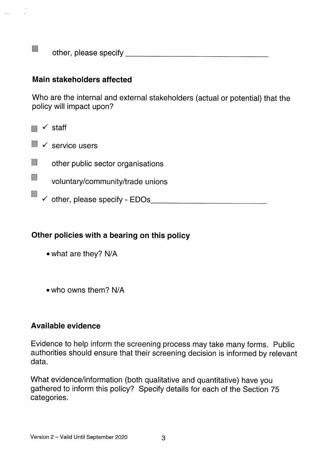**Li other, please specify and the contract of the contract of the contract of the contract of the contract of the contract of the contract of the contract of the contract of the contract of the contract of the contract of** 

## Main stakeholders affected

Who are the internal and external stakeholders (actual or potential) that the policy will impact upon?

 $\blacksquare$   $\checkmark$  staff

- $\blacksquare$   $\checkmark$  service users
- **Lines in the public sector organisations**
- $\blacksquare$  voluntary/community/trade unions
	- $\checkmark$  other, please specify EDOs

## Other policies with <sup>a</sup> bearing on this policy

- what are they? N/A
- who owns them? N/A

#### Available evidence

Evidence to help inform the screening process may take many forms. Public authorities should ensure that their screening decision is informed by relevant data.

What evidence/information (both qualitative and quantitative) have you gathered to inform this policy? Specify details for each of the Section 75 categories.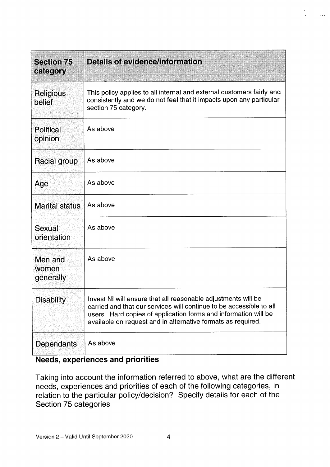| <b>Section 75</b><br>category | <b>Details of evidence/information</b>                                                                                                                                                                                                                                  |
|-------------------------------|-------------------------------------------------------------------------------------------------------------------------------------------------------------------------------------------------------------------------------------------------------------------------|
| <b>Religious</b><br>belief    | This policy applies to all internal and external customers fairly and<br>consistently and we do not feel that it impacts upon any particular<br>section 75 category.                                                                                                    |
| <b>Political</b><br>opinion   | As above                                                                                                                                                                                                                                                                |
| Racial group                  | As above                                                                                                                                                                                                                                                                |
| Age                           | As above                                                                                                                                                                                                                                                                |
| <b>Marital status</b>         | As above                                                                                                                                                                                                                                                                |
| Sexual<br>orientation         | As above                                                                                                                                                                                                                                                                |
| Men and<br>women<br>generally | As above                                                                                                                                                                                                                                                                |
| <b>Disability</b>             | Invest NI will ensure that all reasonable adjustments will be<br>carried and that our services will continue to be accessible to all<br>users. Hard copies of application forms and information will be<br>available on request and in alternative formats as required. |
| Dependants                    | As above                                                                                                                                                                                                                                                                |

 $\tilde{\alpha}_{\rm{tot}}$ 

# Needs, experiences and priorities

Taking into account the information referred to above, what are the different needs, experiences and priorities of each of the following categories, in relation to the particular policy/decision? Specify details for each of the Section 75 categories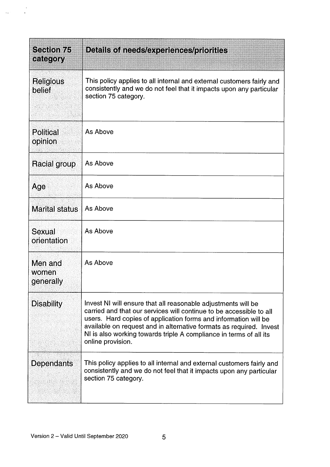| <b>Section 75</b><br>category | Details of needs/experiences/priorities                                                                                                                                                                                                                                                                                                                                   |
|-------------------------------|---------------------------------------------------------------------------------------------------------------------------------------------------------------------------------------------------------------------------------------------------------------------------------------------------------------------------------------------------------------------------|
| Religious<br>belief           | This policy applies to all internal and external customers fairly and<br>consistently and we do not feel that it impacts upon any particular<br>section 75 category.                                                                                                                                                                                                      |
| Political<br>opinion          | As Above                                                                                                                                                                                                                                                                                                                                                                  |
| Racial group                  | As Above                                                                                                                                                                                                                                                                                                                                                                  |
| Age                           | As Above                                                                                                                                                                                                                                                                                                                                                                  |
| <b>Marital status</b>         | As Above                                                                                                                                                                                                                                                                                                                                                                  |
| Sexual<br>orientation         | As Above                                                                                                                                                                                                                                                                                                                                                                  |
| Men and<br>women<br>generally | As Above                                                                                                                                                                                                                                                                                                                                                                  |
| <b>Disability</b>             | Invest NI will ensure that all reasonable adjustments will be<br>carried and that our services will continue to be accessible to all<br>users. Hard copies of application forms and information will be<br>available on request and in alternative formats as required. Invest<br>NI is also working towards triple A compliance in terms of all its<br>online provision. |
| <b>Dependants</b>             | This policy applies to all internal and external customers fairly and<br>consistently and we do not feel that it impacts upon any particular<br>section 75 category.                                                                                                                                                                                                      |

 $\ddot{\phantom{1}}$ 

 $\ddot{\phantom{a}}$ 

 $\frac{1}{2}$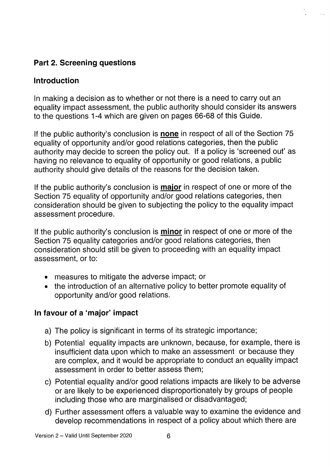# Part 2. Screening questions

# Introduction

In making a decision as to whether or not there is a need to carry out an equality impact assessment, the public authority should consider its answers to the questions 1-4 which are given on pages 66-68 of this Guide.

If the public authority's conclusion is none in respect of all of the Section 75 equality of opportunity and/or good relations categories, then the public authority may decide to screen the policy out. If a policy is 'screened out' as having no relevance to equality of opportunity or good relations, a public authority should give details of the reasons for the decision taken.

If the public authority's conclusion is **major** in respect of one or more of the Section 75 equality of opportunity and/or good relations categories, then consideration should be given to subjecting the policy to the equality impact assessment procedure.

If the public authority's conclusion is **minor** in respect of one or more of the Section 75 equality categories and/or good relations categories, then consideration should still be given to proceeding with an equality impact assessment, or to:

- measures to mitigate the adverse impact; or
- the introduction of an alternative policy to better promote equality of opportunity and/or good relations.

## In favour of a 'major' impact

- a) The policy is significant in terms of its strategic importance;
- b) Potential equality impacts are unknown, because, for example, there is insufficient data upon which to make an assessment or because they are complex, and it would be appropriate to conduct an equality impact assessment in order to better assess them;
- c) Potential equality and/or good relations impacts are likely to be adverse or are likely to be experienced disproportionately by groups of people including those who are marginalised or disadvantaged;
- d) Further assessment offers a valuable way to examine the evidence and develop recommendations in respect of a policy about which there are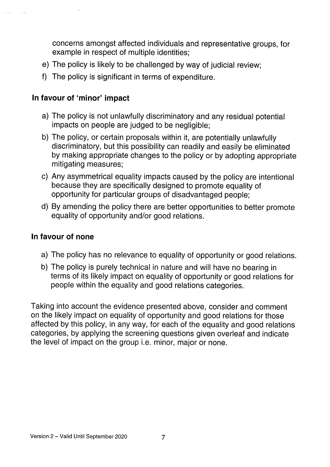concerns amongst affected individuals and representative groups, for example in respect of multiple identities;

- e) The policy is likely to be challenged by way of judicial review;
- f) The policy is significant in terms of expenditure.

# In favour of 'minor' impact

 $\mathbf{v}$  and

- a) The policy is not unlawfully discriminatory and any residual potential impacts on people are judged to be negligible;
- b) The policy, or certain proposals within it, are potentially unlawfully discriminatory, but this possibility can readily and easily be eliminated by making appropriate changes to the policy or by adopting appropriate mitigating measures;
- c) Any asymmetrical equality impacts caused by the policy are intentional because they are specifically designed to promote equality of opportunity for particular groups of disadvantaged people;
- d) By amending the policy there are better opportunities to better promote equality of opportunity and/or good relations.

## In favour of none

- a) The policy has no relevance to equality of opportunity or good relations.
- b) The policy is purely technical in nature and will have no bearing in terms of its likely impact on equality of opportunity or good relations for people within the equality and good relations categories.

Taking into account the evidence presented above, consider and comment on the likely impact on equality of opportunity and good relations for those affected by this policy, in any way, for each of the equality and good relations categories, by applying the screening questions given overleaf and indicate the level of impact on the group i.e. minor, major or none.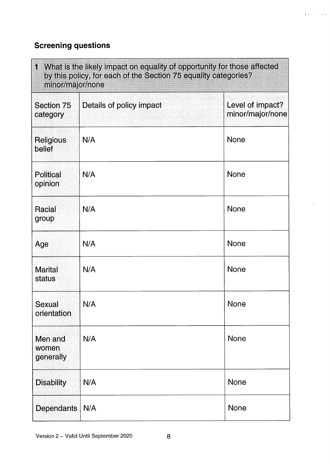# Screening questions

| 1 What is the likely impact on equality of opportunity for those affected<br>by this policy, for each of the Section 75 equality categories?<br>minor/major/none |                          |                                      |  |  |
|------------------------------------------------------------------------------------------------------------------------------------------------------------------|--------------------------|--------------------------------------|--|--|
| Section 75<br>category                                                                                                                                           | Details of policy impact | Level of impact?<br>minor/major/none |  |  |
| <b>Religious</b><br>belief                                                                                                                                       | N/A                      | <b>None</b>                          |  |  |
| <b>Political</b><br>opinion                                                                                                                                      | N/A                      | <b>None</b>                          |  |  |
| Racial<br>group                                                                                                                                                  | N/A                      | <b>None</b>                          |  |  |
| Age                                                                                                                                                              | N/A                      | <b>None</b>                          |  |  |
| <b>Marital</b><br>status                                                                                                                                         | N/A                      | <b>None</b>                          |  |  |
| Sexual<br>orientation                                                                                                                                            | N/A                      | <b>None</b>                          |  |  |
| Men and<br>women<br>generally                                                                                                                                    | N/A                      | <b>None</b>                          |  |  |
| <b>Disability</b>                                                                                                                                                | N/A                      | <b>None</b>                          |  |  |
| <b>Dependants</b>                                                                                                                                                | N/A                      | <b>None</b>                          |  |  |

 $\mathbf{v}(\mathbf{r})$  . The  $\mathbf{v}(\mathbf{r})$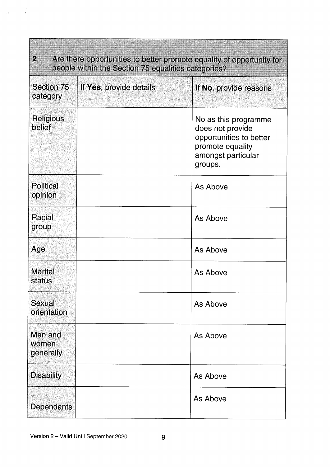| $\overline{2}$<br>Are there opportunities to better promote equality of opportunity for<br>people within the Section 75 equalities categories? |                         |                                                                                                                          |  |  |
|------------------------------------------------------------------------------------------------------------------------------------------------|-------------------------|--------------------------------------------------------------------------------------------------------------------------|--|--|
| Section 75<br>category                                                                                                                         | If Yes, provide details | If No, provide reasons                                                                                                   |  |  |
| <b>Religious</b><br>belief                                                                                                                     |                         | No as this programme<br>does not provide<br>opportunities to better<br>promote equality<br>amongst particular<br>groups. |  |  |
| <b>Political</b><br>opinion                                                                                                                    |                         | As Above                                                                                                                 |  |  |
| <b>Racial</b><br>group                                                                                                                         |                         | As Above                                                                                                                 |  |  |
| Age                                                                                                                                            |                         | As Above                                                                                                                 |  |  |
| <b>Marital</b><br>status                                                                                                                       |                         | As Above                                                                                                                 |  |  |
| <b>Sexual</b><br>orientation                                                                                                                   |                         | As Above                                                                                                                 |  |  |
| Men and<br>women<br>generally                                                                                                                  |                         | As Above                                                                                                                 |  |  |
| <b>Disability</b>                                                                                                                              |                         | As Above                                                                                                                 |  |  |
| Dependants                                                                                                                                     |                         | As Above                                                                                                                 |  |  |

 $\frac{1}{2}$ 

**Alexandria** 

 $\hat{\mathcal{A}}$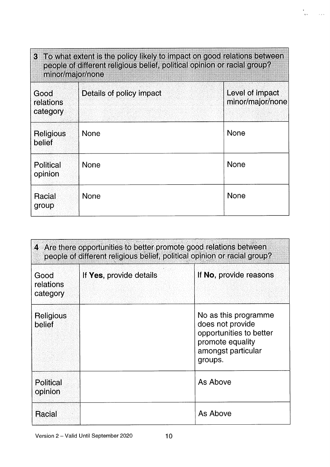| 3 To what extent is the policy likely to impact on good relations between<br>people of different religious belief, political opinion or racial group?<br>minor/major/none |                          |                                     |  |
|---------------------------------------------------------------------------------------------------------------------------------------------------------------------------|--------------------------|-------------------------------------|--|
| Good<br>relations<br>category                                                                                                                                             | Details of policy impact | Level of impact<br>minor/major/none |  |
| <b>Religious</b><br>belief                                                                                                                                                | None                     | <b>None</b>                         |  |
| <b>Political</b><br>opinion                                                                                                                                               | None                     | <b>None</b>                         |  |
| Racial<br>group                                                                                                                                                           | <b>None</b>              | <b>None</b>                         |  |

 $\bullet$ 

 $\bar{\chi}$  .

 $\sim 100$ 

| 4 Are there opportunities to better promote good relations between<br>people of different religious belief, political opinion or racial group? |                         |                                                                                                                          |  |
|------------------------------------------------------------------------------------------------------------------------------------------------|-------------------------|--------------------------------------------------------------------------------------------------------------------------|--|
| Good<br>relations<br>category                                                                                                                  | If Yes, provide details | If No, provide reasons                                                                                                   |  |
| <b>Religious</b><br>belief                                                                                                                     |                         | No as this programme<br>does not provide<br>opportunities to better<br>promote equality<br>amongst particular<br>groups. |  |
| Political<br>opinion                                                                                                                           |                         | As Above                                                                                                                 |  |
| Racial                                                                                                                                         |                         | As Above                                                                                                                 |  |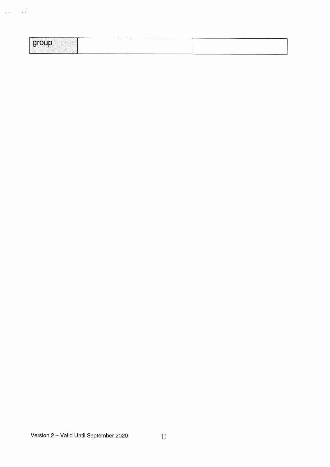| -------------------------<br>______<br>------- |
|------------------------------------------------|
|------------------------------------------------|

 $\label{eq:2} \frac{1}{\sqrt{2\pi}}\int_{0}^{\frac{\pi}{2}}\frac{dx}{\sqrt{2\pi}}\,dx$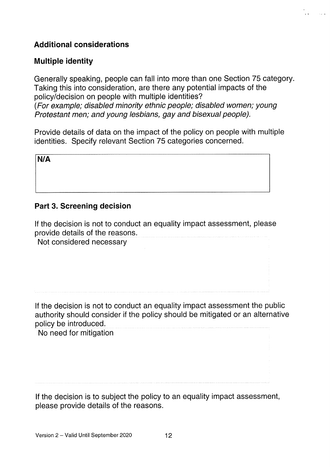# Additional considerations

## Multiple identity

Generally speaking, people can fall into more than one Section 75 category. Taking this into consideration, are there any potential impacts of the policy/decision on people with multiple identities? (For example; disabled minority ethnic people; disabled women; young Protestant men; and young lesbians, gay and bisexual people).

Provide details of data on the impact of the policy on people with multiple identities. Specify relevant Section 75 categories concerned.

N/A

# Part 3. Screening decision

If the decision is not to conduct an equality impact assessment, please provide details of the reasons.

Not considered necessary

If the decision is not to conduct an equality impact assessment the public authority should consider if the policy should be mitigated or an alternative policy be introduced.

No need for mitigation

If the decision is to subject the policy to an equality impact assessment, please provide details of the reasons.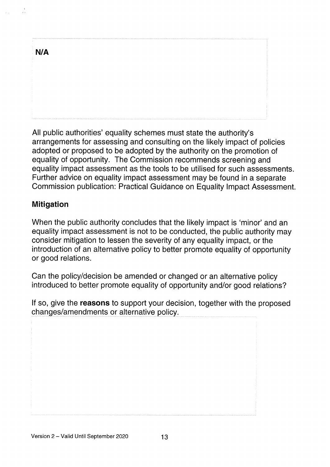| N/A |  |  |   |
|-----|--|--|---|
|     |  |  |   |
|     |  |  |   |
|     |  |  |   |
|     |  |  | ł |
|     |  |  |   |

All public authorities' equality schemes must state the authority's arrangements for assessing and consulting on the likely impact of policies adopted or proposed to be adopted by the authority on the promotion of equality of opportunity. The Commission recommends screening and equality impact assessment as the tools to be utilised for such assessments. Further advice on equality impact assessment may be found in a separate Commission publication: Practical Guidance on Equality Impact Assessment.

## **Mitigation**

When the public authority concludes that the likely impact is 'minor' and an equality impact assessment is not to be conducted, the public authority may consider mitigation to lessen the severity of any equality impact, or the introduction of an alternative policy to better promote equality of opportunity or good relations.

Can the policy/decision be amended or changed or an alternative policy introduced to better promote equality of opportunity and/or good relations?

If so, give the **reasons** to support your decision, together with the proposed changes/amendments or alternative policy.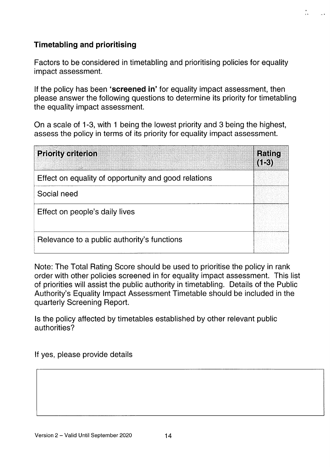# Timetabling and prioritising

Factors to be considered in timetabling and prioritising policies for equality impact assessment.

If the policy has been 'screened in' for equality impact assessment, then please answer the following questions to determine its priority for timetabling the equality impact assessment.

On a scale of 1-3, with <sup>1</sup> being the lowest priority and 3 being the highest, assess the policy in terms of its priority for equality impact assessment.

| <b>Priority criterion</b>                            | Rating<br>$(1-3)$ |
|------------------------------------------------------|-------------------|
| Effect on equality of opportunity and good relations |                   |
| Social need                                          |                   |
| Effect on people's daily lives                       |                   |
| Relevance to a public authority's functions          |                   |

Note: The Total Rating Score should be used to prioritise the policy in rank order with other policies screened in for equality impact assessment. This list of priorities will assist the public authority in timetabling. Details of the Public Authority's Equality Impact Assessment Timetable should be included in the quarterly Screening Report.

Is the policy affected by timetables established by other relevant public authorities?

If yes, please provide details